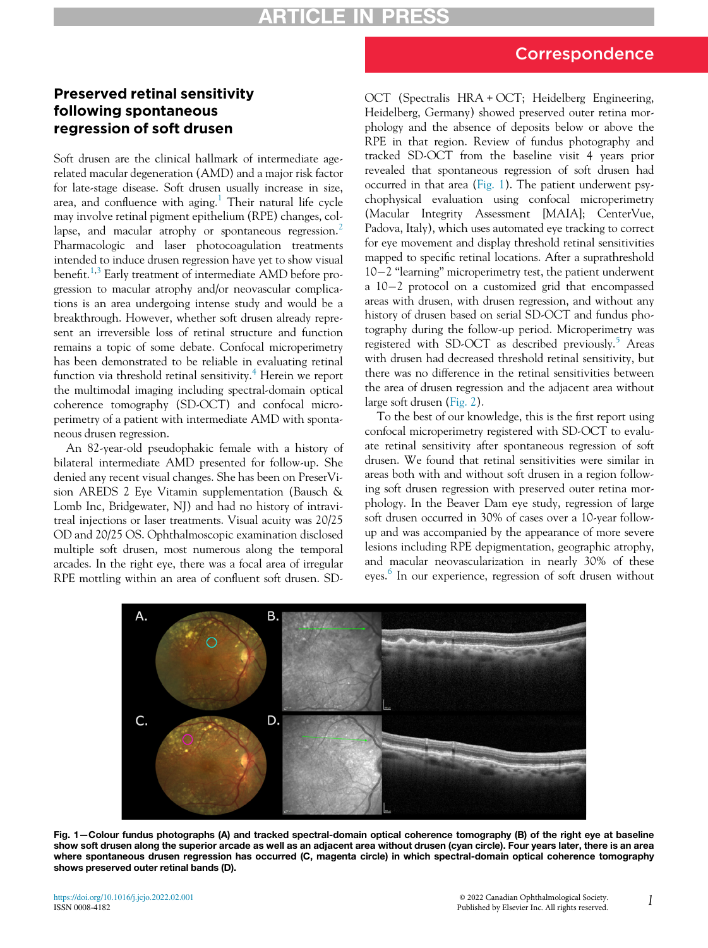## Correspondence

## Preserved retinal sensitivity following spontaneous regression of soft drusen

Soft drusen are the clinical hallmark of intermediate agerelated macular degeneration (AMD) and a major risk factor for late-stage disease. Soft drusen usually increase in size, area, and confluence with aging. $1$  Their natural life cycle may involve retinal pigment epithelium (RPE) changes, col-lapse, and macular atrophy or spontaneous regression.<sup>[2](#page-1-1)</sup> Pharmacologic and laser photocoagulation treatments intended to induce drusen regression have yet to show visual benefit.<sup>[1](#page-1-0),[3](#page-1-2)</sup> Early treatment of intermediate AMD before progression to macular atrophy and/or neovascular complications is an area undergoing intense study and would be a breakthrough. However, whether soft drusen already represent an irreversible loss of retinal structure and function remains a topic of some debate. Confocal microperimetry has been demonstrated to be reliable in evaluating retinal function via threshold retinal sensitivity.<sup>[4](#page-1-3)</sup> Herein we report the multimodal imaging including spectral-domain optical coherence tomography (SD-OCT) and confocal microperimetry of a patient with intermediate AMD with spontaneous drusen regression.

An 82-year-old pseudophakic female with a history of bilateral intermediate AMD presented for follow-up. She denied any recent visual changes. She has been on PreserVision AREDS 2 Eye Vitamin supplementation (Bausch & Lomb Inc, Bridgewater, NJ) and had no history of intravitreal injections or laser treatments. Visual acuity was 20/25 OD and 20/25 OS. Ophthalmoscopic examination disclosed multiple soft drusen, most numerous along the temporal arcades. In the right eye, there was a focal area of irregular RPE mottling within an area of confluent soft drusen. SD-

OCT (Spectralis HRA + OCT; Heidelberg Engineering, Heidelberg, Germany) showed preserved outer retina morphology and the absence of deposits below or above the RPE in that region. Review of fundus photography and tracked SD-OCT from the baseline visit 4 years prior revealed that spontaneous regression of soft drusen had occurred in that area [\(Fig. 1](#page-0-0)). The patient underwent psychophysical evaluation using confocal microperimetry (Macular Integrity Assessment [MAIA]; CenterVue, Padova, Italy), which uses automated eye tracking to correct for eye movement and display threshold retinal sensitivities mapped to specific retinal locations. After a suprathreshold  $10-2$  "learning" microperimetry test, the patient underwent a  $10-2$  protocol on a customized grid that encompassed areas with drusen, with drusen regression, and without any history of drusen based on serial SD-OCT and fundus photography during the follow-up period. Microperimetry was registered with SD-OCT as described previously. $5$  Areas with drusen had decreased threshold retinal sensitivity, but there was no difference in the retinal sensitivities between the area of drusen regression and the adjacent area without large soft drusen ([Fig. 2\)](#page-1-5).

To the best of our knowledge, this is the first report using confocal microperimetry registered with SD-OCT to evaluate retinal sensitivity after spontaneous regression of soft drusen. We found that retinal sensitivities were similar in areas both with and without soft drusen in a region following soft drusen regression with preserved outer retina morphology. In the Beaver Dam eye study, regression of large soft drusen occurred in 30% of cases over a 10-year followup and was accompanied by the appearance of more severe lesions including RPE depigmentation, geographic atrophy, and macular neovascularization in nearly 30% of these eyes. [6](#page-1-6) In our experience, regression of soft drusen without

<span id="page-0-0"></span>

Fig. 1—Colour fundus photographs (A) and tracked spectral-domain optical coherence tomography (B) of the right eye at baseline show soft drusen along the superior arcade as well as an adjacent area without drusen (cyan circle). Four years later, there is an area where spontaneous drusen regression has occurred (C, magenta circle) in which spectral-domain optical coherence tomography shows preserved outer retinal bands (D).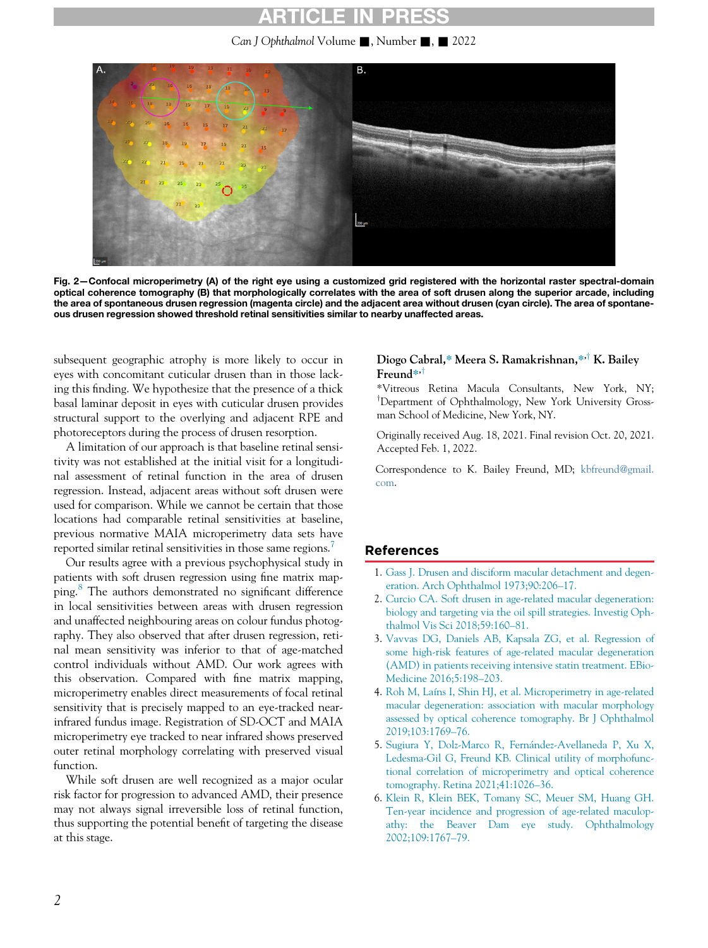## RTICLE IN

Can J Ophthalmol Volume , Number , 2022

<span id="page-1-5"></span>

Fig. 2—Confocal microperimetry (A) of the right eye using a customized grid registered with the horizontal raster spectral-domain optical coherence tomography (B) that morphologically correlates with the area of soft drusen along the superior arcade, including the area of spontaneous drusen regression (magenta circle) and the adjacent area without drusen (cyan circle). The area of spontaneous drusen regression showed threshold retinal sensitivities similar to nearby unaffected areas.

subsequent geographic atrophy is more likely to occur in eyes with concomitant cuticular drusen than in those lacking this finding. We hypothesize that the presence of a thick basal laminar deposit in eyes with cuticular drusen provides structural support to the overlying and adjacent RPE and photoreceptors during the process of drusen resorption.

A limitation of our approach is that baseline retinal sensitivity was not established at the initial visit for a longitudinal assessment of retinal function in the area of drusen regression. Instead, adjacent areas without soft drusen were used for comparison. While we cannot be certain that those locations had comparable retinal sensitivities at baseline, previous normative MAIA microperimetry data sets have reported similar retinal sensitivities in those same regions.<sup>[7](#page-2-0)</sup>

<span id="page-1-2"></span><span id="page-1-1"></span><span id="page-1-0"></span>Our results agree with a previous psychophysical study in patients with soft drusen regression using fine matrix mapping.[8](#page-2-1) The authors demonstrated no significant difference in local sensitivities between areas with drusen regression and unaffected neighbouring areas on colour fundus photography. They also observed that after drusen regression, retinal mean sensitivity was inferior to that of age-matched control individuals without AMD. Our work agrees with this observation. Compared with fine matrix mapping, microperimetry enables direct measurements of focal retinal sensitivity that is precisely mapped to an eye-tracked nearinfrared fundus image. Registration of SD-OCT and MAIA microperimetry eye tracked to near infrared shows preserved outer retinal morphology correlating with preserved visual function.

<span id="page-1-6"></span><span id="page-1-4"></span><span id="page-1-3"></span>While soft drusen are well recognized as a major ocular risk factor for progression to advanced AMD, their presence may not always signal irreversible loss of retinal function, thus supporting the potential benefit of targeting the disease at this stage.

#### Diogo Cabral,\* Meera S. Ramakrishnan,\*<sup>,†</sup> K. Bailey Freund<sup>\*</sup>'<sup>†</sup>

\*Vitreous Retina Macula Consultants, New York, NY; <sup>T</sup>Department of Ophthalmology, New York University Grossman School of Medicine, New York, NY.

Originally received Aug. 18, 2021. Final revision Oct. 20, 2021. Accepted Feb. 1, 2022.

Correspondence to K. Bailey Freund, MD; [kbfreund@gmail.](mailto:kbfreund@gmail.com) [com.](mailto:kbfreund@gmail.com)

#### References

- 1. [Gass J. Drusen and disciform macular detachment and degen](http://refhub.elsevier.com/S0008-4182(22)00044-8/sbref0001)[eration. Arch Ophthalmol 1973;90:206](http://refhub.elsevier.com/S0008-4182(22)00044-8/sbref0001)–17.
- 2. [Curcio CA. Soft drusen in age-related macular degeneration:](http://refhub.elsevier.com/S0008-4182(22)00044-8/sbref0002) [biology and targeting via the oil spill strategies. Investig Oph](http://refhub.elsevier.com/S0008-4182(22)00044-8/sbref0002)[thalmol Vis Sci 2018;59:160](http://refhub.elsevier.com/S0008-4182(22)00044-8/sbref0002)–81.
- 3. [Vavvas DG, Daniels AB, Kapsala ZG, et al. Regression of](http://refhub.elsevier.com/S0008-4182(22)00044-8/sbref0003) [some high-risk features of age-related macular degeneration](http://refhub.elsevier.com/S0008-4182(22)00044-8/sbref0003) [\(AMD\) in patients receiving intensive statin treatment. EBio-](http://refhub.elsevier.com/S0008-4182(22)00044-8/sbref0003)[Medicine 2016;5:198](http://refhub.elsevier.com/S0008-4182(22)00044-8/sbref0003)–203.
- 4. [Roh M, Laíns I, Shin HJ, et al. Microperimetry in age-related](http://refhub.elsevier.com/S0008-4182(22)00044-8/sbref0004) [macular degeneration: association with macular morphology](http://refhub.elsevier.com/S0008-4182(22)00044-8/sbref0004) [assessed by optical coherence tomography. Br J Ophthalmol](http://refhub.elsevier.com/S0008-4182(22)00044-8/sbref0004) [2019;103:1769](http://refhub.elsevier.com/S0008-4182(22)00044-8/sbref0004)–76.
- 5. [Sugiura Y, Dolz-Marco R, Fern](http://refhub.elsevier.com/S0008-4182(22)00044-8/sbref0005)ández-Avellaneda P, Xu X, [Ledesma-Gil G, Freund KB. Clinical utility of morphofunc](http://refhub.elsevier.com/S0008-4182(22)00044-8/sbref0005)[tional correlation of microperimetry and optical coherence](http://refhub.elsevier.com/S0008-4182(22)00044-8/sbref0005) [tomography. Retina 2021;41:1026](http://refhub.elsevier.com/S0008-4182(22)00044-8/sbref0005)–36.
- 6. [Klein R, Klein BEK, Tomany SC, Meuer SM, Huang GH.](http://refhub.elsevier.com/S0008-4182(22)00044-8/sbref0006) [Ten-year incidence and progression of age-related maculop](http://refhub.elsevier.com/S0008-4182(22)00044-8/sbref0006)[athy: the Beaver Dam eye study. Ophthalmology](http://refhub.elsevier.com/S0008-4182(22)00044-8/sbref0006) [2002;109:1767](http://refhub.elsevier.com/S0008-4182(22)00044-8/sbref0006)–79.